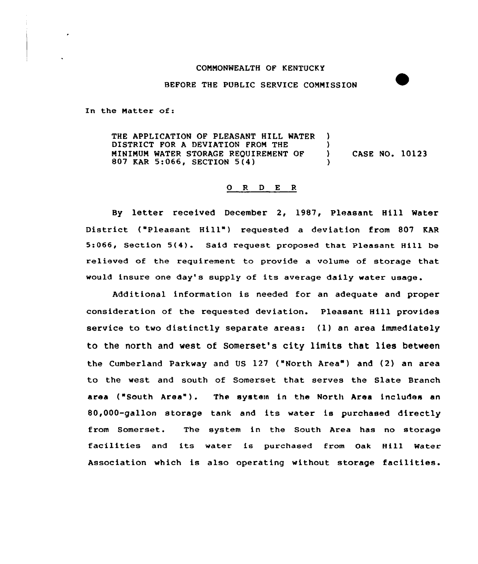## CONNONWEALTH OF KENTUCKY

## BEFORE THE PUBLIC SERVICE CONNISSION

In the Natter of:

THE APPLICATION OF PLEASANT HILL WATER )<br>DISTRICT FOR A DEVIATION FROM THE  $\qquad$  ) DISTRICT FOR A DEVIATION FROM THE NININUN WATER STORAGE REQUIRENENT OF ) CASE NO. 10123 807 KAR 5:066, SECTION 5(4) )

## 0 R <sup>D</sup> E <sup>R</sup>

By letter received December 2, 1987, Pleasant Hill Water District ("Pleasant Hill") requested a deviation from 807 KAR 5:066, Section 5(4). Said request proposed that Pleasant Hill be relieved of the requirement to provide a volume of storage that would insure one day's supply of its average daily water usage.

Additional information is needed for an adequate and proper consideration of the requested deviation. Pleasant Hill provides service to two distinctly separate areas: (1) an area immediately to the north and west of Somerset's city limits that lies between the Cumberland Parkway and US 127 ("North Area") and (2) an area to the west and south of Somerset that serves the Slate Branch area ("South Area"). The system in the North Area includes an 80,000-gallon storage tank and its water is purchased directly from Somerset. The system in the South Area has no storage facilities and its water is purchased from Oak Hill Water Association which is also operating without storage facilities.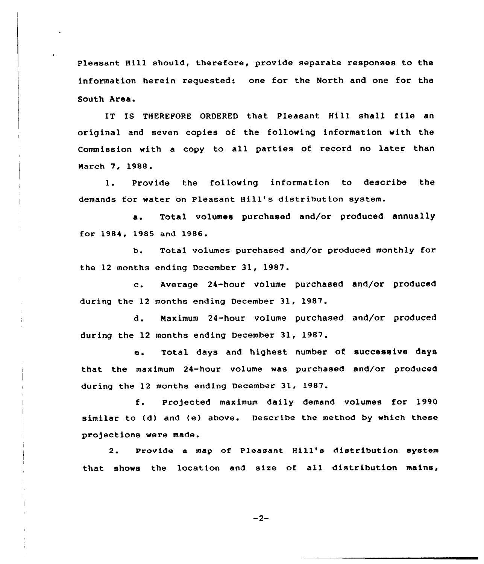Pleasant Hill should, therefore, provide separate responses to the information herein requested: one for the North and one for the South Area.

IT IS THEREPORE ORDERED that Pleasant Hill shall file an original and seven copies of the following information with the Commission with <sup>a</sup> copy to all parties of record no later than Narch 7. 1988.

1. Provide the folloving information to describe the demands for water on Pleasant Hill's distribution system.

a. Total volumes purchased and/or produced annually for 1984, 1985 and 1986.

b. Total volumes purchased and/or produced monthly for the 12 months ending December 31, 1987.

c. Average 24-hour volume purchased and/or produced during the 12 months ending December 31, 1987.

d. Maximum 24-hour volume purchased and/or produced during the 12 months ending December 31, 1987.

e. Total days and highest number of successive days that the maximum 24-hour volume was purchased and/or produced during the 12 months ending December 31, 1987.

<sup>f</sup>. Projected maximum daily demand volumes for <sup>1990</sup> similar to (d) and (e) above. Describe the method by which these projections vere made.

2. Provide <sup>a</sup> map of Pleasant Hill's distribution system that shows the location and size of all distribution mains,

 $-2-$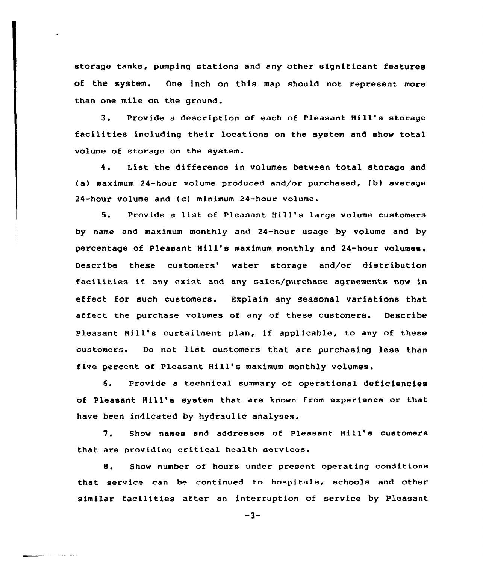storage tanks, pumping stations and any other signif icant features of the system. One inch on this map should not represent more than one mile on the ground.

3. Provide <sup>a</sup> description of each of Pleasant Hill's storage facilities including their locations on the system and show total volume of storage on the system.

4. List the difference in volumes between total storage and (a) maximum 24-hour volume produced and/or purchased, (b) average 24-hour volume and (c) minimum 24-hour volume.

5. Provide <sup>a</sup> list of Pleasant Hill's large volume customers by name and maximum monthly and 24-hour usage by volume and by percentage of Pleasant Hill's maximum monthly and 24-hour volumes, Describe these customers' water storage and/or distribution tacilities if any exist and any sales/purchase agreements now in effect for such customers. Explain any seasonal variations that affect the purchase volumes of any of these customers. Describe Pleasant Hill's curtailment plan, if applicable, to any of these customers. Do not list customers that are purchasing less than five percent of Pleasant Hill's maximum monthly volumes.

6. Provide a technical summary of operational deficiencies of Pleasant Hill's system that are known from experience or that have been indicated by hydraulic analyses.

7. Show names and addresses of Pleasant Hill's customers that are providing critical health services.

8. Show number of hours under present operating conditions that service can be continued to hospitals, schools and other similar facilities after an interruption of service by Pleasant

 $-3-$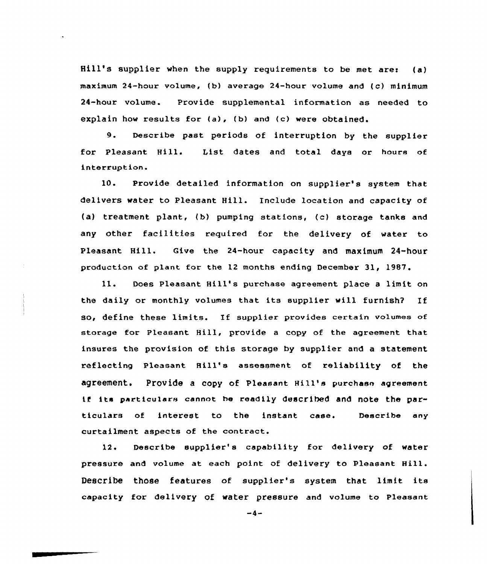Hill's supplier when the supply requirements to be met are:  $(a)$ maximum 24-hour volume, (b) average 24-hour volume and (c) minimum 24-hour volume. Provide supplemental information as needed to explain how results for (a), (b) and (c) were obtained.

9. Describe past periods of interruption by the supplier for Pleasant Hill. List dates and total days or hours of interruption.

1Q. Provide detailed information on supplier's system that delivers water to Pleasant Hill. Include location and capacity of (a) treatment plant, (b) pumping stations, (c) storage tanks and any other facilities required for the delivery of water to Pleasant Hill. Give the 24-hour capacity and maximum 24-hour production of plant for the 12 months ending December 31, 1987

Does Pleasant Hill's purchase agreement place a limit on 11. the daily or monthly volumes that its supplier will furnish? If so, define these limits. If supplier provides certain volumes of storage for Pleasant Hill, provide a copy of the agreement that insures the provision of this storage by supplier and a statement reflecting Pleasant Hill's assessment of reliability of the agreement. Provide <sup>a</sup> copy of pleasant Hill's purchase agreement if its particulars cannot he readily described and note the particulars of interest to the instant case. Describe any curtailment aspects of the contract.

12. Describe supplier's capability for delivery of water pressure and volume at each point of delivery to Pleasant Hill. Describe those features of supplier's system that limit its capacity for delivery of water pressure and volume to Pleasant

 $-4-$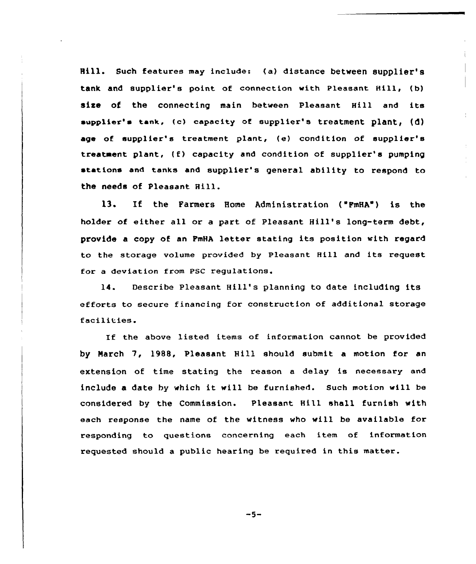Hill. Such features may include: (a) distance between supplier's tank and supplier's point of connection with Pleasant Hill, (b) size of the connecting main between Pleasant Hill and its supplier's tank, (c) capacity of supplier's treatment plant,  $(d)$ age of supplier's treatment plant, (e) condition of supplier's treatment plant, (f) capacity and condition of supplier's pumping stations and tanks and supplier's general ability to respond to the needs of Pleasant Hill.

13. If the Farmers Home Administration ('PmHA') is the holder of either all or a part of Pleasant Hill's long-term debt, provide <sup>a</sup> copy of an PmHA letter stating its position with regard to the storage volume provided by Pleasant Hill and its request for a deviation from PSC regulations.

14. Describe Pleasant Hill's planning to date including its efforts to secure financing for construction of additional storage facilities.

If the above listed items of information cannot be provided by March 7, 1988, Pleasant Hill should submit a motion for an extension of time stating the reason <sup>a</sup> delay is necessary and include <sup>a</sup> date hy which it will be furnished. Such motion will be considered by the Commission. Pleasant Hill shall furnish with each response the name of the witness who will be available for responding to questions concerning each item of information requested should a public hearing be required in this matter.

 $-5-$